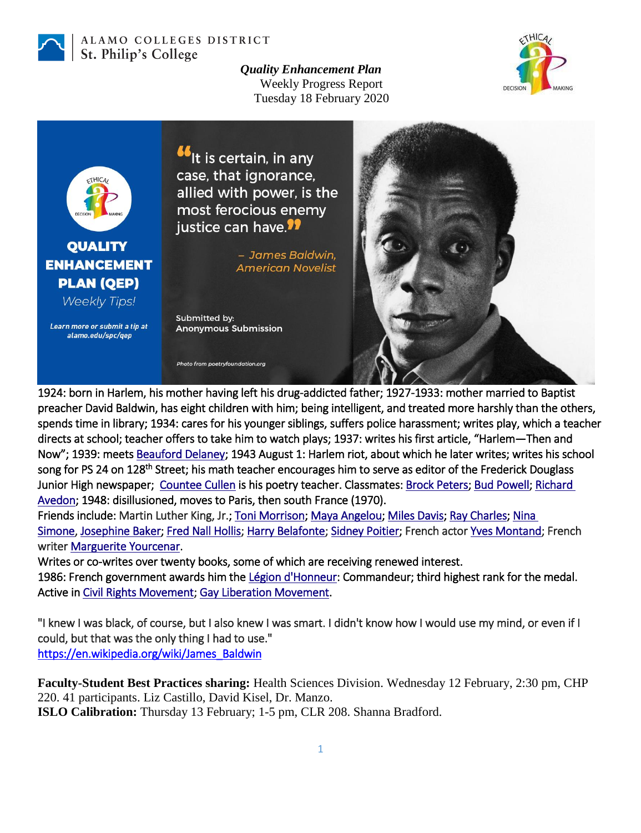

## ALAMO COLLEGES DISTRICT St. Philip's College

*Quality Enhancement Plan* Weekly Progress Report Tuesday 18 February 2020





1924: born in Harlem, his mother having left his drug-addicted father; 1927-1933: mother married to Baptist preacher David Baldwin, has eight children with him; being intelligent, and treated more harshly than the others, spends time in library; 1934: cares for his younger siblings, suffers police harassment; writes play, which a teacher directs at school; teacher offers to take him to watch plays; 1937: writes his first article, "Harlem—Then and Now"; 1939: meets [Beauford Delaney;](https://en.wikipedia.org/wiki/Beauford_Delaney) 1943 August 1: Harlem riot, about which he later writes; writes his school song for PS 24 on 128<sup>th</sup> Street; his math teacher encourages him to serve as editor of the Frederick Douglass Junior High newspaper; [Countee Cullen](https://en.wikipedia.org/wiki/Countee_Cullen) is his poetry teacher. Classmates[: Brock Peters;](https://en.wikipedia.org/wiki/Brock_Peters) [Bud Powell;](https://en.wikipedia.org/wiki/Bud_Powell) [Richard](https://en.wikipedia.org/wiki/Richard_Avedon)  [Avedon;](https://en.wikipedia.org/wiki/Richard_Avedon) 1948: disillusioned, moves to Paris, then south France (1970).

Friends include: Martin Luther King, Jr.; [Toni Morrison;](https://en.wikipedia.org/wiki/Toni_Morrison) [Maya Angelou;](https://en.wikipedia.org/wiki/Maya_Angelou) [Miles Davis;](https://en.wikipedia.org/wiki/Miles_Davis) [Ray Charles;](https://en.wikipedia.org/wiki/Ray_Charles) Nina [Simone,](https://en.wikipedia.org/wiki/Nina_Simone) [Josephine Baker;](https://en.wikipedia.org/wiki/Josephine_Baker) [Fred Nall Hollis;](https://en.wikipedia.org/wiki/Fred_Nall_Hollis) [Harry Belafonte;](https://en.wikipedia.org/wiki/Harry_Belafonte) [Sidney Poitier;](https://en.wikipedia.org/wiki/Sidney_Poitier) French actor [Yves Montand;](https://en.wikipedia.org/wiki/Yves_Montand) French writer [Marguerite Yourcenar.](https://en.wikipedia.org/wiki/Marguerite_Yourcenar)

Writes or co-writes over twenty books, some of which are receiving renewed interest. 1986: French government awards him the [Légion d'Honneur:](https://en.wikipedia.org/wiki/Legion_of_Honour) Commandeur; third highest rank for the medal. Active in [Civil Rights Movement;](https://en.wikipedia.org/wiki/Civil_rights_movement) [Gay Liberation Movement.](https://en.wikipedia.org/wiki/Gay_liberation)

"I knew I was black, of course, but I also knew I was smart. I didn't know how I would use my mind, or even if I could, but that was the only thing I had to use." [https://en.wikipedia.org/wiki/James\\_Baldwin](https://en.wikipedia.org/wiki/James_Baldwin) 

**Faculty-Student Best Practices sharing:** Health Sciences Division. Wednesday 12 February, 2:30 pm, CHP 220. 41 participants. Liz Castillo, David Kisel, Dr. Manzo. **ISLO Calibration:** Thursday 13 February; 1-5 pm, CLR 208. Shanna Bradford.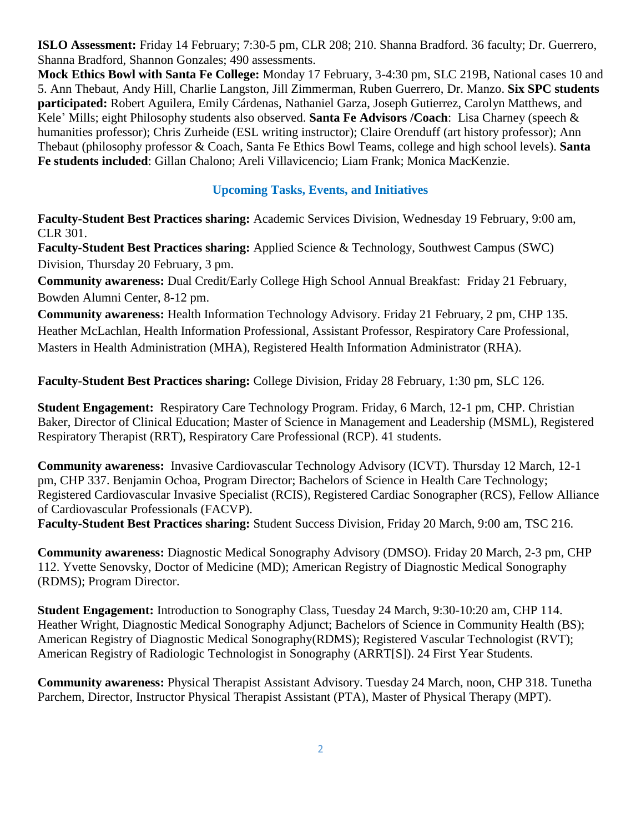**ISLO Assessment:** Friday 14 February; 7:30-5 pm, CLR 208; 210. Shanna Bradford. 36 faculty; Dr. Guerrero, Shanna Bradford, Shannon Gonzales; 490 assessments.

**Mock Ethics Bowl with Santa Fe College:** Monday 17 February, 3-4:30 pm, SLC 219B, National cases 10 and 5. Ann Thebaut, Andy Hill, Charlie Langston, Jill Zimmerman, Ruben Guerrero, Dr. Manzo. **Six SPC students participated:** Robert Aguilera, Emily Cárdenas, Nathaniel Garza, Joseph Gutierrez, Carolyn Matthews, and Kele' Mills; eight Philosophy students also observed. **Santa Fe Advisors /Coach**: Lisa Charney (speech & humanities professor); Chris Zurheide (ESL writing instructor); Claire Orenduff (art history professor); Ann Thebaut (philosophy professor & Coach, Santa Fe Ethics Bowl Teams, college and high school levels). **Santa Fe students included**: Gillan Chalono; Areli Villavicencio; Liam Frank; Monica MacKenzie.

## **Upcoming Tasks, Events, and Initiatives**

**Faculty-Student Best Practices sharing:** Academic Services Division, Wednesday 19 February, 9:00 am, CLR 301.

**Faculty-Student Best Practices sharing:** Applied Science & Technology, Southwest Campus (SWC) Division, Thursday 20 February, 3 pm.

**Community awareness:** Dual Credit/Early College High School Annual Breakfast: Friday 21 February, Bowden Alumni Center, 8-12 pm.

**Community awareness:** Health Information Technology Advisory. Friday 21 February, 2 pm, CHP 135. Heather McLachlan, Health Information Professional, Assistant Professor, Respiratory Care Professional, Masters in Health Administration (MHA), Registered Health Information Administrator (RHA).

**Faculty-Student Best Practices sharing:** College Division, Friday 28 February, 1:30 pm, SLC 126.

**Student Engagement:** Respiratory Care Technology Program. Friday, 6 March, 12-1 pm, CHP. Christian Baker, Director of Clinical Education; Master of Science in Management and Leadership (MSML), Registered Respiratory Therapist (RRT), Respiratory Care Professional (RCP). 41 students.

**Community awareness:** Invasive Cardiovascular Technology Advisory (ICVT). Thursday 12 March, 12-1 pm, CHP 337. Benjamin Ochoa, Program Director; Bachelors of Science in Health Care Technology; Registered Cardiovascular Invasive Specialist (RCIS), Registered Cardiac Sonographer (RCS), Fellow Alliance of Cardiovascular Professionals (FACVP).

**Faculty-Student Best Practices sharing:** Student Success Division, Friday 20 March, 9:00 am, TSC 216.

**Community awareness:** Diagnostic Medical Sonography Advisory (DMSO). Friday 20 March, 2-3 pm, CHP 112. Yvette Senovsky, Doctor of Medicine (MD); American Registry of Diagnostic Medical Sonography (RDMS); Program Director.

**Student Engagement:** Introduction to Sonography Class, Tuesday 24 March, 9:30-10:20 am, CHP 114. Heather Wright, Diagnostic Medical Sonography Adjunct; Bachelors of Science in Community Health (BS); American Registry of Diagnostic Medical Sonography(RDMS); Registered Vascular Technologist (RVT); American Registry of Radiologic Technologist in Sonography (ARRT[S]). 24 First Year Students.

**Community awareness:** Physical Therapist Assistant Advisory. Tuesday 24 March, noon, CHP 318. Tunetha Parchem, Director, Instructor Physical Therapist Assistant (PTA), Master of Physical Therapy (MPT).